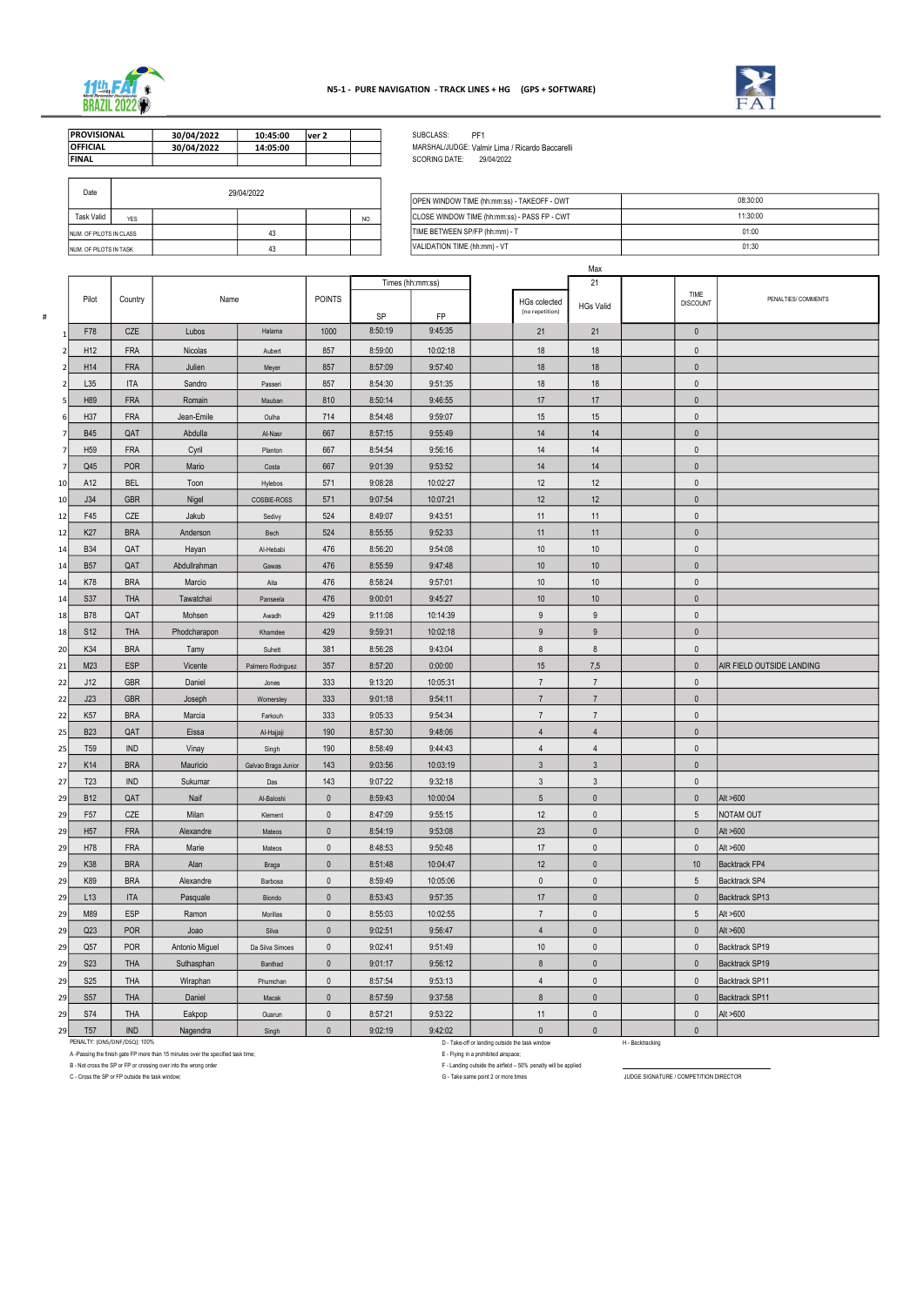

#

| ⊃uc                     |     | <b>LUITILULL</b> |                | OPEN WINDOW TIME (hh:mm:ss) - TAKEOFF - OWT  | 08:30:00 |
|-------------------------|-----|------------------|----------------|----------------------------------------------|----------|
| Task Valid              | YES |                  | N <sub>C</sub> | CLOSE WINDOW TIME (hh:mm:ss) - PASS FP - CWT | 11:30:00 |
| NUM. OF PILOTS IN CLASS |     |                  |                | TIME BETWEEN SP/FP (hh:mm) - T               | 01:00    |
| NUM. OF PILOTS IN TASK  |     |                  |                | VALIDATION TIME (hh:mm) - VT                 | 01:30    |

| Date                           |     | 29/04/2022 |    |                                                     |                                                     |                                |
|--------------------------------|-----|------------|----|-----------------------------------------------------|-----------------------------------------------------|--------------------------------|
|                                |     |            |    | <b>JOPEN WINDOW TIME (hh:mm:ss) - TAKEOFF - OWT</b> |                                                     |                                |
| Task Valid                     | YES |            |    | N <sub>O</sub>                                      | <b>CLOSE WINDOW TIME (hh:mm:ss) - PASS FP - CWT</b> |                                |
| INUM. OF PILOTS IN CLASS       |     |            | 43 |                                                     |                                                     | TIME BETWEEN SP/FP (hh:mm) - T |
| <b>INUM. OF PILOTS IN TASK</b> |     |            | 43 |                                                     |                                                     | VALIDATION TIME (hh:mm) - VT   |

|                                    |                                                                                                                          |                                                                                  |                     |                            |                    |                    |                                      |                                                                | Max                       |                                              |                             |                           |
|------------------------------------|--------------------------------------------------------------------------------------------------------------------------|----------------------------------------------------------------------------------|---------------------|----------------------------|--------------------|--------------------|--------------------------------------|----------------------------------------------------------------|---------------------------|----------------------------------------------|-----------------------------|---------------------------|
|                                    |                                                                                                                          | Name                                                                             |                     |                            |                    | Times (hh:mm:ss)   |                                      |                                                                | 21                        |                                              |                             |                           |
| Pilot                              | Country                                                                                                                  |                                                                                  |                     | <b>POINTS</b>              | <b>SP</b>          | <b>FP</b>          |                                      | <b>HGs colected</b><br>(no repetition)                         | <b>HGs Valid</b>          |                                              | TIME<br><b>DISCOUNT</b>     | PENALTIES/ COMMENTS       |
| F78                                | <b>CZE</b>                                                                                                               | Lubos                                                                            | Halama              | 1000                       | 8:50:19            | 9:45:35            |                                      | 21                                                             | 21                        |                                              | $\mathbf{0}$                |                           |
| H <sub>12</sub><br>$\mathcal{P}$   | <b>FRA</b>                                                                                                               | Nicolas                                                                          | Aubert              | 857                        | 8:59:00            | 10:02:18           |                                      | 18                                                             | 18                        |                                              | $\mathbf 0$                 |                           |
| H14<br>2I                          | <b>FRA</b>                                                                                                               | Julien                                                                           | Meyer               | 857                        | 8:57:09            | 9:57:40            |                                      | 18                                                             | 18                        |                                              | $\mathbf 0$                 |                           |
| L35<br>$\overline{2}$              | ITA                                                                                                                      | Sandro                                                                           | Passeri             | 857                        | 8:54:30            | 9:51:35            |                                      | 18                                                             | 18                        |                                              | $\mathbf 0$                 |                           |
| H89                                | <b>FRA</b>                                                                                                               | Romain                                                                           | Mauban              | 810                        | 8:50:14            | 9:46:55            |                                      | 17                                                             | 17                        |                                              | $\mathbf 0$                 |                           |
| H37                                | <b>FRA</b>                                                                                                               | Jean-Emile                                                                       | Oulha               | 714                        | 8 54 48            | 9:59:07            |                                      | 15                                                             | 15                        |                                              | $\mathbf{0}$                |                           |
| <b>B45</b><br>$\overline{7}$       | QAT                                                                                                                      | Abdulla                                                                          | Al-Nasr             | 667                        | 8:57:15            | 9:55:49            |                                      | 14                                                             | 14                        |                                              | $\mathbf{0}$                |                           |
| H <sub>59</sub>                    | <b>FRA</b>                                                                                                               | Cyril                                                                            | Planton             | 667                        | 8 54 54            | 9:56:16            |                                      | 14                                                             | 14                        |                                              | $\mathbf{0}$                |                           |
| Q45<br>$\overline{7}$              | <b>POR</b>                                                                                                               | Mario                                                                            | Costa               | 667                        | 9 01:39            | 9:53:52            |                                      | 14                                                             | 14                        |                                              | $\mathbf{0}$                |                           |
| A12<br>10                          | <b>BEL</b>                                                                                                               | Toon                                                                             | Hylebos             | 571                        | 9:08:28            | 10:02:27           |                                      | 12                                                             | 12                        |                                              | $\mathbf{0}$                |                           |
| J34<br>10 <sup>1</sup>             | <b>GBR</b>                                                                                                               | Nigel                                                                            | COSBIE-ROSS         | 571                        | 9 07 54            | 10:07:21           |                                      | 12                                                             | 12                        |                                              | $\mathbf 0$                 |                           |
| F45<br>12                          | CZE                                                                                                                      | Jakub                                                                            | Sedivy              | 524                        | 8.49.07            | 9:43:51            |                                      | 11                                                             | 11                        |                                              | $\mathbf 0$                 |                           |
| K <sub>27</sub><br>12              | <b>BRA</b>                                                                                                               | Anderson                                                                         | Bech                | 524                        | 8:55:55            | 9:52:33            |                                      | 11                                                             | 11                        |                                              | $\mathbf 0$                 |                           |
| <b>B34</b><br>14                   | QAT                                                                                                                      | Hayan                                                                            | Al-Hebabi           | 476                        | 8:56:20            | 9:54:08            |                                      | 10                                                             | 10                        |                                              | $\mathbf 0$                 |                           |
| <b>B57</b><br>14                   | QAT                                                                                                                      | Abdullrahman                                                                     | Gawas               | 476                        | 8:55:59            | 9.47.48            |                                      | 10                                                             | 10 <sup>°</sup>           |                                              | $\mathbf 0$                 |                           |
| K78<br>14                          | <b>BRA</b>                                                                                                               | Marcio                                                                           | Aita                | 476                        | 8:58:24            | 9:57:01            |                                      | 10                                                             | 10                        |                                              | $\mathbf 0$                 |                           |
| <b>S37</b><br>14                   | <b>THA</b>                                                                                                               | Tawatchai                                                                        | Panseela            | 476                        | 9:00:01            | 9:45:27            |                                      | 10                                                             | 10 <sup>°</sup>           |                                              | $\mathbf 0$                 |                           |
| <b>B78</b><br>18                   | QAT                                                                                                                      | Mohsen                                                                           | Awadh               | 429                        | 9:11:08            | 10:14:39           |                                      | 9                                                              | 9                         |                                              | 0                           |                           |
| S <sub>12</sub><br>18 <sup>1</sup> | <b>THA</b>                                                                                                               | Phodcharapon                                                                     | Khamdee             | 429                        | 9:59:31            | 10:02:18           |                                      | 9                                                              | 9                         |                                              | $\mathbf{0}$                |                           |
| K34<br>20 <sub>l</sub>             | <b>BRA</b>                                                                                                               | Tamy                                                                             | Suhett              | 381                        | 8 56 28            | 9:43:04            |                                      | 8                                                              | 8                         |                                              | $\mathbf 0$                 |                           |
| M23<br>21                          | <b>ESP</b>                                                                                                               | Vicente                                                                          | Palmero Rodriguez   | 357                        | 8 57 20            | 0:00:00            |                                      | 15                                                             | 7,5                       |                                              | $\mathbf{0}$                | AIR FIELD OUTSIDE LANDING |
| J12<br>22                          | <b>GBR</b>                                                                                                               | Daniel                                                                           | Jones               | 333                        | 9 13 20            | 10:05:31           |                                      | $\overline{7}$                                                 | $\overline{7}$            |                                              | $\mathbf{0}$                |                           |
| J23<br>22                          | <b>GBR</b>                                                                                                               | Joseph                                                                           | Womersley           | 333                        | 9.01.18            | 9:54:11            |                                      | $\overline{7}$                                                 | $\overline{7}$            |                                              | $\mathbf{0}$                |                           |
| K <sub>57</sub><br>22              | <b>BRA</b>                                                                                                               | Marcia                                                                           | Farkouh             | 333                        | 9 05:33            | 9:54:34            |                                      | $\overline{7}$                                                 | $\overline{7}$            |                                              | $\mathbf{0}$                |                           |
| <b>B23</b><br>25                   | QAT                                                                                                                      | Eissa                                                                            | Al-Hajjaji          | 190                        | 8 57 30            | 9:48:06            |                                      | 4                                                              | $\overline{4}$            |                                              | 0                           |                           |
| T <sub>59</sub><br>25              | <b>IND</b>                                                                                                               | Vinay                                                                            | Singh               | 190                        | 8:58:49            | 9:44:43            |                                      | 4                                                              | $\overline{4}$            |                                              | $\mathbf{0}$                |                           |
| K14<br>27                          | <b>BRA</b>                                                                                                               | Mauricio                                                                         | Galvao Braga Junior | 143                        | 9:03:56            | 10:03:19           |                                      | $\mathfrak{Z}$                                                 | $\mathbf{3}$              |                                              | $\mathbf 0$                 |                           |
| T <sub>23</sub><br>27              | <b>IND</b>                                                                                                               | Sukumar                                                                          | Das                 | 143                        | 9:07:22            | 9:32:18            |                                      | $\mathbf{3}$                                                   | $\mathfrak{Z}$            |                                              | $\mathbf{0}$                |                           |
| <b>B12</b><br><b>29</b>            | QAT                                                                                                                      | Naif                                                                             | Al-Baloshi          | $\mathbf 0$                | 8:59:43            | 10:00:04           |                                      | 5 <sup>5</sup>                                                 | $\mathbf 0$               |                                              | $\mathbf 0$                 | Alt >600                  |
| F <sub>57</sub><br>29              | CZE                                                                                                                      | Milan                                                                            | Klement             | $\mathbf 0$                | 8:47:09            | 9:55:15            |                                      | 12                                                             | $\mathbf 0$               |                                              | $5\overline{)}$             | NOTAM OUT                 |
| H <sub>57</sub><br>29              | <b>FRA</b>                                                                                                               | Alexandre                                                                        | Mateos              | $\mathbf 0$                | 8:54:19            | 9:53:08            |                                      | 23                                                             | $\mathbf 0$               |                                              | $\mathbf 0$                 | Alt >600                  |
| H78<br>29                          | <b>FRA</b>                                                                                                               | Marie                                                                            | Mateos              | $\mathbf 0$                | 8:48:53            | 9:50:48            |                                      | 17                                                             | $\mathbf{0}$              |                                              | $\mathbf 0$                 | Alt >600                  |
| K38<br>29                          | <b>BRA</b>                                                                                                               | Alan                                                                             | <b>Braga</b>        | $\mathbf 0$                | 8:51:48            | 10:04:47           |                                      | 12                                                             | $\mathbf{0}$              |                                              | 10                          | <b>Backtrack FP4</b>      |
| K89<br>29                          | <b>BRA</b>                                                                                                               | Alexandre                                                                        | Barbosa             | $\mathbf{0}$               | 8:59:49            | 10:05:06           |                                      | $\mathbf 0$                                                    | $\mathbf{0}$              |                                              | $5\phantom{.0}$             | Backtrack SP4             |
| L13<br>29                          | <b>ITA</b>                                                                                                               | Pasquale                                                                         | Biondo              | $\mathbf 0$                | 8:53:43            | 9:57:35            |                                      | 17                                                             | $\mathbf{0}$              |                                              | $\mathbf{0}$                | Backtrack SP13            |
| M89<br>29                          | <b>ESP</b>                                                                                                               | Ramon                                                                            | Morillas            | $\mathbf 0$                | 8:55:03            | 10:02:55           |                                      | $\overline{7}$                                                 | $\mathbf{0}$              |                                              | $5\overline{)}$             | Alt >600                  |
| Q23                                | <b>POR</b>                                                                                                               | Joao                                                                             |                     | $\mathbf 0$                | 9:02:51            | 9:56:47            |                                      | $\overline{4}$                                                 | $\mathbf{0}$              |                                              | $\mathbf 0$                 | Alt >600                  |
| 29<br>Q57<br>29                    | <b>POR</b>                                                                                                               | Antonio Miguel                                                                   | Silva               | $\mathbf 0$                | 9:02:41            | 9:51:49            |                                      | 10                                                             | $\mathbf{0}$              |                                              | $\mathbf 0$                 | Backtrack SP19            |
| <b>S23</b>                         | <b>THA</b>                                                                                                               |                                                                                  | Da Silva Simoes     |                            |                    |                    |                                      | 8                                                              | $\mathbf{0}$              |                                              |                             |                           |
| 29                                 |                                                                                                                          | Suthasphan                                                                       | Banthad             | $\mathbf 0$                | 9.01:17            | 9:56:12            |                                      |                                                                |                           |                                              | $\mathbf 0$                 | Backtrack SP19            |
| <b>S25</b><br>29<br><b>S57</b>     | <b>THA</b><br><b>THA</b>                                                                                                 | Wiraphan                                                                         | Phumchan            | $\mathbf 0$<br>$\mathbf 0$ | 8:57:54            | 9:53:13            |                                      | 4<br>8                                                         | $\pmb{0}$<br>$\mathbf{0}$ |                                              | $\mathbf 0$<br>$\mathbf 0$  | Backtrack SP11            |
| 29                                 |                                                                                                                          | Daniel                                                                           | Macak               |                            | 8:57:59            | 9:37:58            |                                      |                                                                |                           |                                              |                             | Backtrack SP11            |
| S74<br>29                          | <b>THA</b><br><b>IND</b>                                                                                                 | Eakpop                                                                           | Ouarun              | $\mathbf 0$<br>$\mathbf 0$ | 8:57:21<br>9:02:19 | 9:53:22<br>9:42:02 |                                      | 11<br>$\mathbf{0}$                                             | $\pmb{0}$<br>$\mathbf{0}$ |                                              | $\mathbf 0$<br>$\mathbf{0}$ | Alt >600                  |
| T <sub>57</sub><br>29              | Nagendra<br>Singh<br>PENALTY: (DNS/DNF/DSQ): 100%<br>D - Take-off or landing outside the task window<br>H - Backtracking |                                                                                  |                     |                            |                    |                    |                                      |                                                                |                           |                                              |                             |                           |
|                                    |                                                                                                                          | A -Passing the finish gate FP more than 15 minutes over the specified task time; |                     |                            |                    |                    | E - Flying in a prohibited airspace; |                                                                |                           |                                              |                             |                           |
|                                    |                                                                                                                          | B - Not cross the SP or FP or crossing over into the wrong order                 |                     |                            |                    |                    |                                      | F - Landing outside the airfield - 50% penalty will be applied |                           | <b>UIDOE OIOMATUDE LOOMBETITION DIBECTOD</b> |                             |                           |

C - Cross the SP or FP outside the task window; **GENERATURE IN STARE SERVER THE COMPETITION DIRECTOR** 



| <b>PROVISIONAL</b> | 30/04/2022 | 10:45:00 | lver 2 |  |
|--------------------|------------|----------|--------|--|
| <b>OFFICIAL</b>    | 30/04/2022 | 14:05:00 |        |  |
| <b>IFINAL</b>      |            |          |        |  |
|                    |            |          |        |  |

SUBCLASS: PF1<br>MARSHAL/JUDGE: Valmi<br>SCORING DATE: 29/ MARSHAL/JUDGE: Valmir Lima / Ricardo Baccarelli SCORING DATE: 29/04/2022